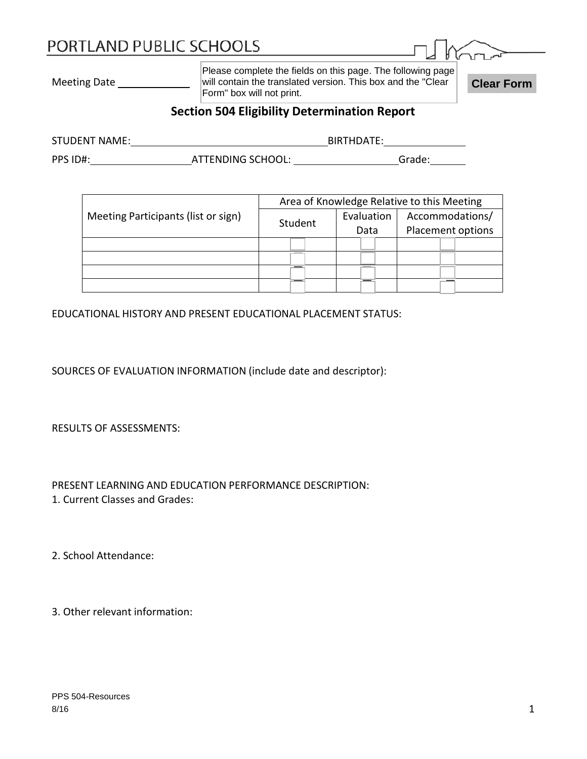# PORTLAND PUBLIC SCHOOLS

| K<br>ιг<br>ıГI |  |
|----------------|--|

Meeting Date

Please complete the fields on this page. The following page will contain the translated version. This box and the "Clear **Clear Form**<br>Form" box will not print.

## **Section 504 Eligibility Determination Report**

| <b>STUDENT NAME:</b> | BIRTHDATF:               |  |        |
|----------------------|--------------------------|--|--------|
| PPS ID#:             | <b>ATTENDING SCHOOL:</b> |  | Grade: |

|                                     | Area of Knowledge Relative to this Meeting |            |                   |  |  |
|-------------------------------------|--------------------------------------------|------------|-------------------|--|--|
| Meeting Participants (list or sign) |                                            | Evaluation | Accommodations/   |  |  |
|                                     | Student<br>Data                            |            | Placement options |  |  |
|                                     |                                            |            |                   |  |  |
|                                     |                                            |            |                   |  |  |
|                                     |                                            |            |                   |  |  |
|                                     |                                            |            |                   |  |  |

EDUCATIONAL HISTORY AND PRESENT EDUCATIONAL PLACEMENT STATUS:

SOURCES OF EVALUATION INFORMATION (include date and descriptor):

RESULTS OF ASSESSMENTS:

PRESENT LEARNING AND EDUCATION PERFORMANCE DESCRIPTION: 1. Current Classes and Grades:

2. School Attendance:

3. Other relevant information: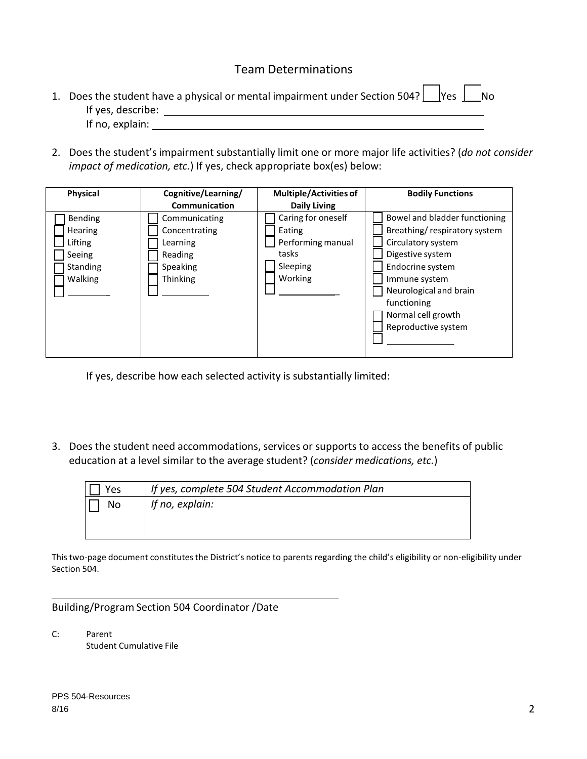#### Team Determinations

| 1. Does the student have a physical or mental impairment under Section 504? $\vert$  Yes $\vert$   No |  |  |
|-------------------------------------------------------------------------------------------------------|--|--|
| If yes, describe:                                                                                     |  |  |
| If no, explain:                                                                                       |  |  |

2. Does the student's impairment substantially limit one or more major life activities? (*do not consider impact of medication, etc.*) If yes, check appropriate box(es) below:

| Physical                                                              | Cognitive/Learning/                                                           | <b>Multiple/Activities of</b>                                                     | <b>Bodily Functions</b>                                                                                                                                                                                                            |
|-----------------------------------------------------------------------|-------------------------------------------------------------------------------|-----------------------------------------------------------------------------------|------------------------------------------------------------------------------------------------------------------------------------------------------------------------------------------------------------------------------------|
|                                                                       | <b>Communication</b>                                                          | <b>Daily Living</b>                                                               |                                                                                                                                                                                                                                    |
| Bending<br><b>Hearing</b><br>Lifting<br>Seeing<br>Standing<br>Walking | Communicating<br>Concentrating<br>Learning<br>Reading<br>Speaking<br>Thinking | Caring for oneself<br>Eating<br>Performing manual<br>tasks<br>Sleeping<br>Working | Bowel and bladder functioning<br>Breathing/respiratory system<br>Circulatory system<br>Digestive system<br>Endocrine system<br>Immune system<br>Neurological and brain<br>functioning<br>Normal cell growth<br>Reproductive system |
|                                                                       |                                                                               |                                                                                   |                                                                                                                                                                                                                                    |

If yes, describe how each selected activity is substantially limited:

3. Does the student need accommodations, services or supports to access the benefits of public education at a level similar to the average student? (*consider medications, etc.*)

| Yes | If yes, complete 504 Student Accommodation Plan |
|-----|-------------------------------------------------|
| No  | If no, explain:                                 |
|     |                                                 |
|     |                                                 |

This two-page document constitutes the District's notice to parents regarding the child's eligibility or non-eligibility under Section 504.

Building/Program Section 504 Coordinator /Date

C: Parent Student Cumulative File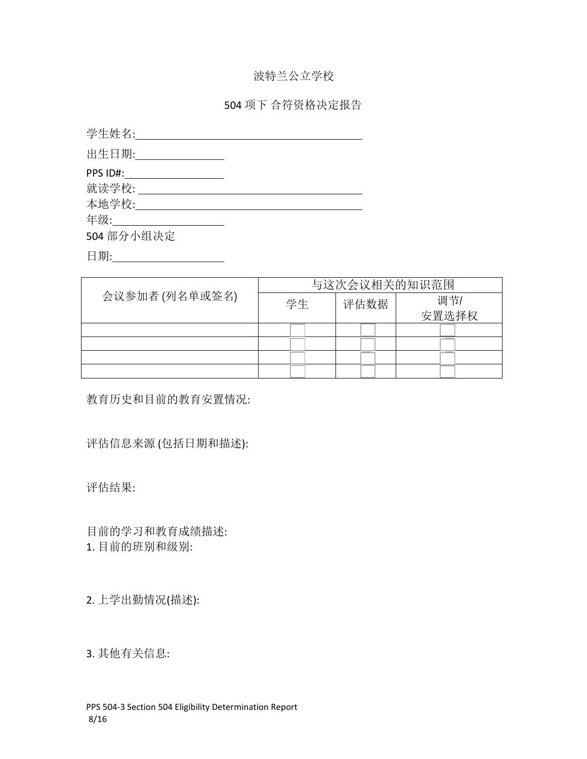# 波特兰公立学校

### 504 项下 合符资格决定报告

| 学生姓名:            |  |
|------------------|--|
| 出生日期:___________ |  |
| PPS ID#:         |  |
| 就读学校:            |  |
| 本地学校:            |  |
| 年级: _______      |  |
| 504 部分小组决定       |  |

日期:\_\_\_\_\_\_\_\_\_\_\_\_\_\_\_\_\_\_\_\_\_

|                | 与这次会议相关的知识范围 |      |       |  |
|----------------|--------------|------|-------|--|
| 会议参加者 (列名单或签名) | 学生           | 评估数据 | 调节/   |  |
|                |              |      | 安置选择权 |  |
|                |              |      |       |  |
|                |              |      |       |  |
|                |              |      |       |  |
|                |              |      |       |  |

教育历史和目前的教育安置情况:

评估信息来源 (包括日期和描述):

评估结果:

目前的学习和教育成绩描述: 1. 目前的班别和级别:

2. 上学出勤情况(描述):

3. 其他有关信息: